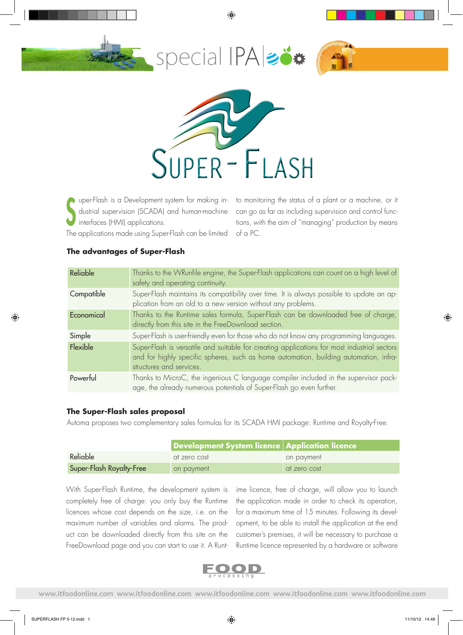#### ◈





uper-Flash is a Development system for making industrial supervision (SCADA) and human-machine interfaces (HMI) applications. S

to monitoring the status of a plant or a machine, or it can go as far as including supervision and control functions, with the aim of "managing" production by means of a PC.

The applications made using Super-Flash can be limited

| Reliable   | Thanks to the WRunfile engine, the Super-Flash applications can count on a high level of<br>safety and operating continuity.                                                                                     |
|------------|------------------------------------------------------------------------------------------------------------------------------------------------------------------------------------------------------------------|
| Compatible | Super-Flash maintains its compatibility over time. It is always possible to update an ap-<br>plication from an old to a new version without any problems.                                                        |
| Economical | Thanks to the Runtime sales formula, Super-Flash can be downloaded free of charge,<br>directly from this site in the FreeDownload section.                                                                       |
| Simple     | Super-Flash is user-friendly even for those who do not know any programming languages.                                                                                                                           |
| Flexible   | Super-Flash is versatile and suitable for creating applications for most industrial sectors<br>and for highly specific spheres, such as home automation, building automation, infra-<br>structures and services. |
| Powerful   | Thanks to MicroC, the ingenious C language compiler included in the supervisor pack-<br>age, the already numerous potentials of Super-Flash go even further.                                                     |

## **The advantages of Super-Flash**

### **The Super-Flash sales proposal**

Automa proposes two complementary sales formulas for its SCADA HMI package: Runtime and Royalty-Free.

|                          | Development System licence Application licence |              |
|--------------------------|------------------------------------------------|--------------|
| Reliable                 | at zero cost                                   | on payment   |
| Super-Flash Royalty-Free | on payment                                     | at zero cost |

With Super-Flash Runtime, the development system is completely free of charge: you only buy the Runtime licences whose cost depends on the size, i.e. on the maximum number of variables and alarms. The product can be downloaded directly from this site on the FreeDownload page and you can start to use it. A Runtime licence, free of charge, will allow you to launch the application made in order to check its operation, for a maximum time of 15 minutes. Following its development, to be able to install the application at the end customer's premises, it will be necessary to purchase a Runtime licence represented by a hardware or software



**www.itfoodonline.com www.itfoodonline.com www.itfoodonline.com www.itfoodonline.com www.itfoodonline.com**

◈

◈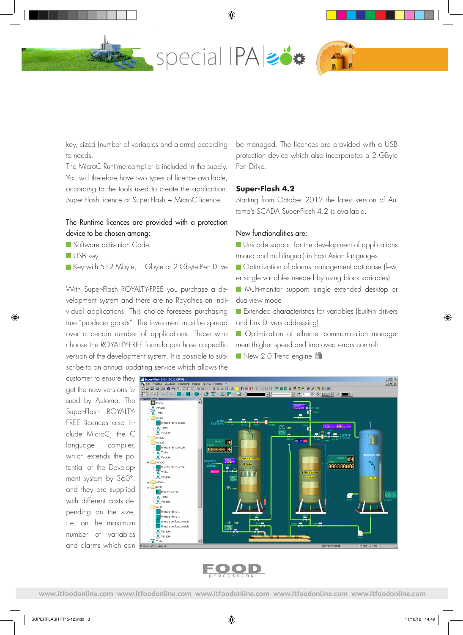

◈

key, sized (number of variables and alarms) according to needs.

The MicroC Runtime compiler is included in the supply. You will therefore have two types of licence available, according to the tools used to create the application: Super-Flash licence or Super-Flash + MicroC licence.

## The Runtime licences are provided with a protection device to be chosen among:

- Software activation Code
- USB key

◈

Key with 512 Mbyte, 1 Gbyte or 2 Gbyte Pen Drive

With Super-Flash ROYALTY-FREE you purchase a development system and there are no Royalties on individual applications. This choice foresees purchasing true "producer goods". The investment must be spread over a certain number of applications. Those who choose the ROYALTY-FREE formula purchase a specific version of the development system. It is possible to subscribe to an annual updating service which allows the

be managed. The licences are provided with a USB protection device which also incorporates a 2 GByte Pen Drive.

### **Super-Flash 4.2**

Starting from October 2012 the latest version of Automa's SCADA Super-Flash 4.2 is available.

#### New functionalities are:

- **Unicode support for the development of applications** (mono and multilingual) in East Asian languages
- **Optimization of alarms management database (few-**
- er single variables needed by using block variables)
- **Multi-monitor support: single extended desktop or** dualview mode
- **Extended characteristics for variables (built-in drivers** and Link Drivers addressing)
- **Optimization of ethernet communication manage**ment (higher speed and improved errors control)
- New 2.0 Trend engine

customer to ensure they **E**super-Flash 3.6 - [C get the new versions issued by Automa. The Super-Flash ROYALTY-FREE licences also include MicroC, the C language compiler, which extends the potential of the Development system by 360°, and they are supplied with different costs depending on the size, i.e. on the maximum number of variables and alarms which can





**www.itfoodonline.com www.itfoodonline.com www.itfoodonline.com www.itfoodonline.com www.itfoodonline.com**

◈